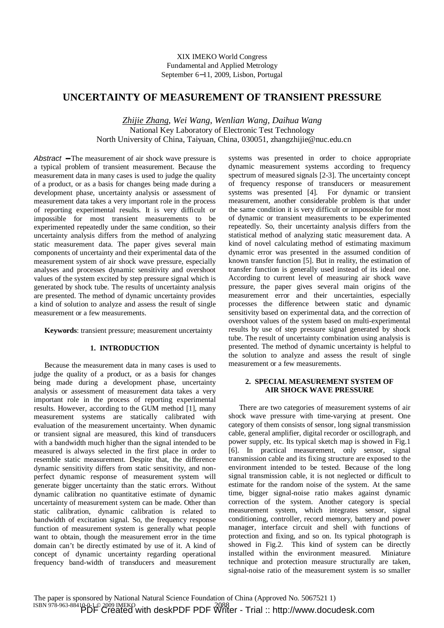# **UNCERTAINTY OF MEASUREMENT OF TRANSIENT PRESSURE**

*Zhijie Zhang*, *Wei Wang*, *Wenlian Wang, Daihua Wang*  National Key Laboratory of Electronic Test Technology North University of China, Taiyuan, China, 030051, zhangzhijie@nuc.edu.cn

Abstract – The measurement of air shock wave pressure is a typical problem of transient measurement. Because the measurement data in many cases is used to judge the quality of a product, or as a basis for changes being made during a development phase, uncertainty analysis or assessment of measurement data takes a very important role in the process of reporting experimental results. It is very difficult or impossible for most transient measurements to be experimented repeatedly under the same condition, so their uncertainty analysis differs from the method of analyzing static measurement data. The paper gives several main components of uncertainty and their experimental data of the measurement system of air shock wave pressure, especially analyses and processes dynamic sensitivity and overshoot values of the system excited by step pressure signal which is generated by shock tube. The results of uncertainty analysis are presented. The method of dynamic uncertainty provides a kind of solution to analyze and assess the result of single measurement or a few measurements.

**Keywords**: transient pressure; measurement uncertainty

## **1. INTRODUCTION**

Because the measurement data in many cases is used to judge the quality of a product, or as a basis for changes being made during a development phase, uncertainty analysis or assessment of measurement data takes a very important role in the process of reporting experimental results. However, according to the GUM method [1], many measurement systems are statically calibrated with evaluation of the measurement uncertainty. When dynamic or transient signal are measured, this kind of transducers with a bandwidth much higher than the signal intended to be measured is always selected in the first place in order to resemble static measurement. Despite that, the difference dynamic sensitivity differs from static sensitivity, and nonperfect dynamic response of measurement system will generate bigger uncertainty than the static errors. Without dynamic calibration no quantitative estimate of dynamic uncertainty of measurement system can be made. Other than static calibration, dynamic calibration is related to bandwidth of excitation signal. So, the frequency response function of measurement system is generally what people want to obtain, though the measurement error in the time domain can't be directly estimated by use of it. A kind of concept of dynamic uncertainty regarding operational frequency band-width of transducers and measurement systems was presented in order to choice appropriate dynamic measurement systems according to frequency spectrum of measured signals [2-3]. The uncertainty concept of frequency response of transducers or measurement systems was presented [4]. For dynamic or transient measurement, another considerable problem is that under the same condition it is very difficult or impossible for most of dynamic or transient measurements to be experimented repeatedly. So, their uncertainty analysis differs from the statistical method of analyzing static measurement data. A kind of novel calculating method of estimating maximum dynamic error was presented in the assumed condition of known transfer function [5]. But in reality, the estimation of transfer function is generally used instead of its ideal one. According to current level of measuring air shock wave pressure, the paper gives several main origins of the measurement error and their uncertainties, especially processes the difference between static and dynamic sensitivity based on experimental data, and the correction of overshoot values of the system based on multi-experimental results by use of step pressure signal generated by shock tube. The result of uncertainty combination using analysis is presented. The method of dynamic uncertainty is helpful to the solution to analyze and assess the result of single measurement or a few measurements.

### **2. SPECIAL MEASUREMENT SYSTEM OF AIR SHOCK WAVE PRESSURE**

There are two categories of measurement systems of air shock wave pressure with time-varying at present. One category of them consists of sensor, long signal transmission cable, general amplifier, digital recorder or oscillograph, and power supply, etc. Its typical sketch map is showed in Fig.1 [6]. In practical measurement, only sensor, signal transmission cable and its fixing structure are exposed to the environment intended to be tested. Because of the long signal transmission cable, it is not neglected or difficult to estimate for the random noise of the system. At the same time, bigger signal-noise ratio makes against dynamic correction of the system. Another category is special measurement system, which integrates sensor, signal conditioning, controller, record memory, battery and power manager, interface circuit and shell with functions of protection and fixing, and so on. Its typical photograph is showed in Fig.2. This kind of system can be directly installed within the environment measured. Miniature technique and protection measure structurally are taken, signal-noise ratio of the measurement system is so smaller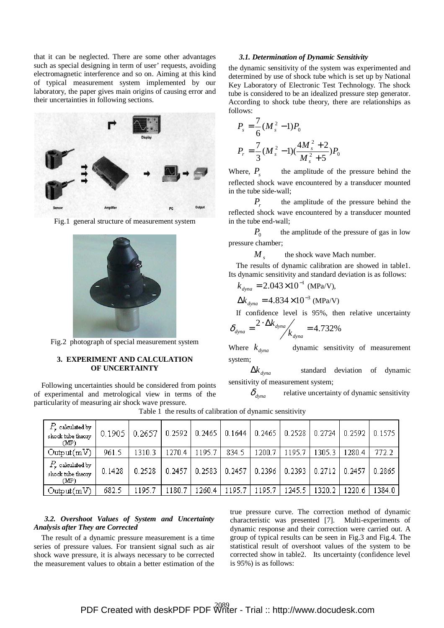that it can be neglected. There are some other advantages such as special designing in term of user' requests, avoiding electromagnetic interference and so on. Aiming at this kind of typical measurement system implemented by our laboratory, the paper gives main origins of causing error and their uncertainties in following sections.



Fig.1 general structure of measurement system



Fig.2 photograph of special measurement system

### **3. EXPERIMENT AND CALCULATION OF UNCERTAINTY**

Following uncertainties should be considered from points of experimental and metrological view in terms of the particularity of measuring air shock wave pressure.

### *3.1. Determination of Dynamic Sensitivity*

the dynamic sensitivity of the system was experimented and determined by use of shock tube which is set up by National Key Laboratory of Electronic Test Technology. The shock tube is considered to be an idealized pressure step generator. According to shock tube theory, there are relationships as follows:

$$
P_s = \frac{7}{6} (M_s^2 - 1) P_0
$$
  

$$
P_r = \frac{7}{3} (M_s^2 - 1) (\frac{4M_s^2 + 2}{M_s^2 + 5}) P_0
$$

Where,  $P_s$   $\longrightarrow$  the amplitude of the pressure behind the reflected shock wave encountered by a transducer mounted in the tube side-wall;

 $P_r$ — the amplitude of the pressure behind the reflected shock wave encountered by a transducer mounted in the tube end-wall;

 $P_0$ — the amplitude of the pressure of gas in low pressure chamber;

 $M_{s}$   $\longrightarrow$  the shock wave Mach number.

The results of dynamic calibration are showed in table1. Its dynamic sensitivity and standard deviation is as follows:

$$
k_{\text{dyna}} = 2.043 \times 10^{-1} \text{ (MPa/V)},
$$

 $\Delta k_{dyna} = 4.834 \times 10^{-3}$  (MPa/V)

If confidence level is 95%, then relative uncertainty

$$
\delta_{\text{dyna}} = \frac{2 \cdot \Delta k_{\text{dyna}}}{k_{\text{dyna}}} = 4.732\%
$$

Where  $k_{\text{dyn}} \longrightarrow$  dynamic sensitivity of measurement system;

 $\Delta k$ <sub>dyna</sub> — standard deviation of dynamic sensitivity of measurement system;

 $\delta_{\text{dvna}}$  relative uncertainty of dynamic sensitivity

| $P_{\star}$ calculated by $^{\prime}$<br>shock tube theory<br>(MP) | 0.1905 | 0.2657 | 0.2592 | 0.2465 |        | $0.1644$   0.2465   0.2528 |            | 0.2724 |        | $0.2592$   0.1575 |
|--------------------------------------------------------------------|--------|--------|--------|--------|--------|----------------------------|------------|--------|--------|-------------------|
| Output(mV)                                                         | 961.5  | 1310.3 | 1270.4 | 1195.7 | 834.5  | 1200.7                     | 1195.7     | 1305.3 | 1280.4 | 772.2             |
| $P_\star$ calculated by<br>shock tube theory<br>(MP)               | 0.1428 | 0.2528 | 0.2457 | 0.2583 | 0.2457 | 0.2396                     | $0.2393$ J | 0.2712 | 0.2457 | 0.2865 l          |
| Output(mV)                                                         | 682.5  | 1195.7 | 1180.7 | 1260.4 | 195.7  | 1195.7                     | 1245.5     | 1320.2 | 1220.6 | 1384.0            |

Table 1 the results of calibration of dynamic sensitivity

# *3.2. Overshoot Values of System and Uncertainty Analysis after They are Corrected*

The result of a dynamic pressure measurement is a time series of pressure values. For transient signal such as air shock wave pressure, it is always necessary to be corrected the measurement values to obtain a better estimation of the

true pressure curve. The correction method of dynamic characteristic was presented [7]. Multi-experiments of dynamic response and their correction were carried out. A group of typical results can be seen in Fig.3 and Fig.4. The statistical result of overshoot values of the system to be corrected show in table2. Its uncertainty (confidence level is 95%) is as follows: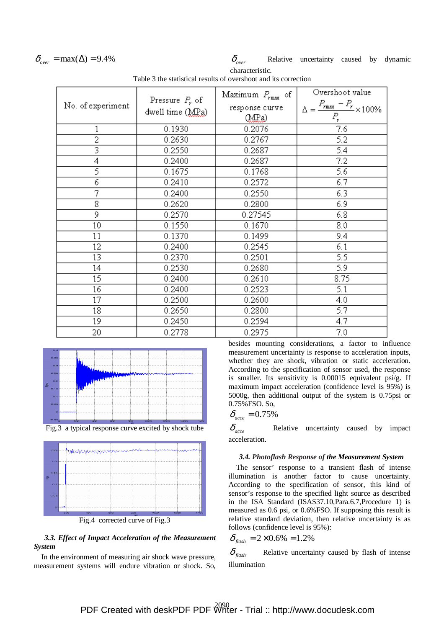$$
\delta_{over} = \max(\Delta) = 9.4\%
$$

 $\delta_{over} = \max(\Delta) = 9.4\%$   $\delta_{over}$  Relative uncertainty caused by dynamic characteristic.

|                   |                   | Maximum $P_{\text{max}}$ of | Overshoot value                                                         |  |  |
|-------------------|-------------------|-----------------------------|-------------------------------------------------------------------------|--|--|
| No. of experiment | Pressure $P_r$ of | response curve              | $\Delta = \frac{P_{\text{max}} - P_{\text{r}}}{P_{\text{max}} + 100\%}$ |  |  |
|                   | dwell time (MPa)  | (MPa)                       | $P_r$                                                                   |  |  |
| 1                 | 0.1930            | 0.2076                      | 7.6                                                                     |  |  |
| $\overline{2}$    | 0.2630            | 0.2767                      | 5.2                                                                     |  |  |
|                   | 0.2550            | 0.2687                      | 5.4                                                                     |  |  |
| 4                 | 0.2400            | 0.2687                      | 7.2                                                                     |  |  |
| 5                 | 0.1675            | 0.1768                      | 5.6                                                                     |  |  |
| 6                 | 0.2410            | 0.2572                      | 6.7                                                                     |  |  |
| 7                 | 0.2400            | 0.2550                      | 6.3                                                                     |  |  |
| 8                 | 0.2620            | 0.2800                      | 6.9                                                                     |  |  |
| 9                 | 0.2570            | 0.27545                     | 6.8                                                                     |  |  |
| 10 <sub>1</sub>   | 0.1550            | 0.1670                      | 8.0                                                                     |  |  |
| 11                | 0.1370            | 0.1499                      | 9.4                                                                     |  |  |
| 12                | 0.2400            | 0.2545                      | 6.1                                                                     |  |  |
| 13                | 0.2370            | 0.2501                      | 5.5                                                                     |  |  |
| 14                | 0.2530            | 0.2680                      | 5.9                                                                     |  |  |
| 15                | 0.2400            | 0.2610                      | 8.75                                                                    |  |  |
| 16                | 0.2400            | 0.2523                      | 5.1                                                                     |  |  |
| 17                | 0.2500            | 0.2600                      | 4.0                                                                     |  |  |
| 18                | 0.2650            | 0.2800                      | 5.7                                                                     |  |  |
| 19                | 0.2450            | 0.2594                      | 4.7                                                                     |  |  |
| 20                | 0.2778            | 0.2975                      | 7.0                                                                     |  |  |

Table 3 the statistical results of overshoot and its correction







Fig.4 corrected curve of Fig.3

## *3.3. Effect of Impact Acceleration of the Measurement System*

In the environment of measuring air shock wave pressure, measurement systems will endure vibration or shock. So, besides mounting considerations, a factor to influence measurement uncertainty is response to acceleration inputs, whether they are shock, vibration or static acceleration. According to the specification of sensor used, the response is smaller. Its sensitivity is 0.00015 equivalent psi/g. If maximum impact acceleration (confidence level is 95%) is 5000g, then additional output of the system is 0.75psi or 0.75%FSO. So,

$$
\delta_{\text{acc}} = 0.75\%
$$

 $\delta_{\text{acc}}$  — Relative uncertainty caused by impact acceleration.

#### *3.4. Photoflash Response of the Measurement System*

The sensor' response to a transient flash of intense illumination is another factor to cause uncertainty. According to the specification of sensor, this kind of sensor's response to the specified light source as described in the ISA Standard (ISAS37.10,Para.6.7,Procedure 1) is measured as 0.6 psi, or 0.6%FSO. If supposing this result is relative standard deviation, then relative uncertainty is as follows (confidence level is 95%):

$$
\delta_{\text{flash}} = 2 \times 0.6\% = 1.2\%
$$

 $\delta_{\text{flash}}$  ––Relative uncertainty caused by flash of intense illumination